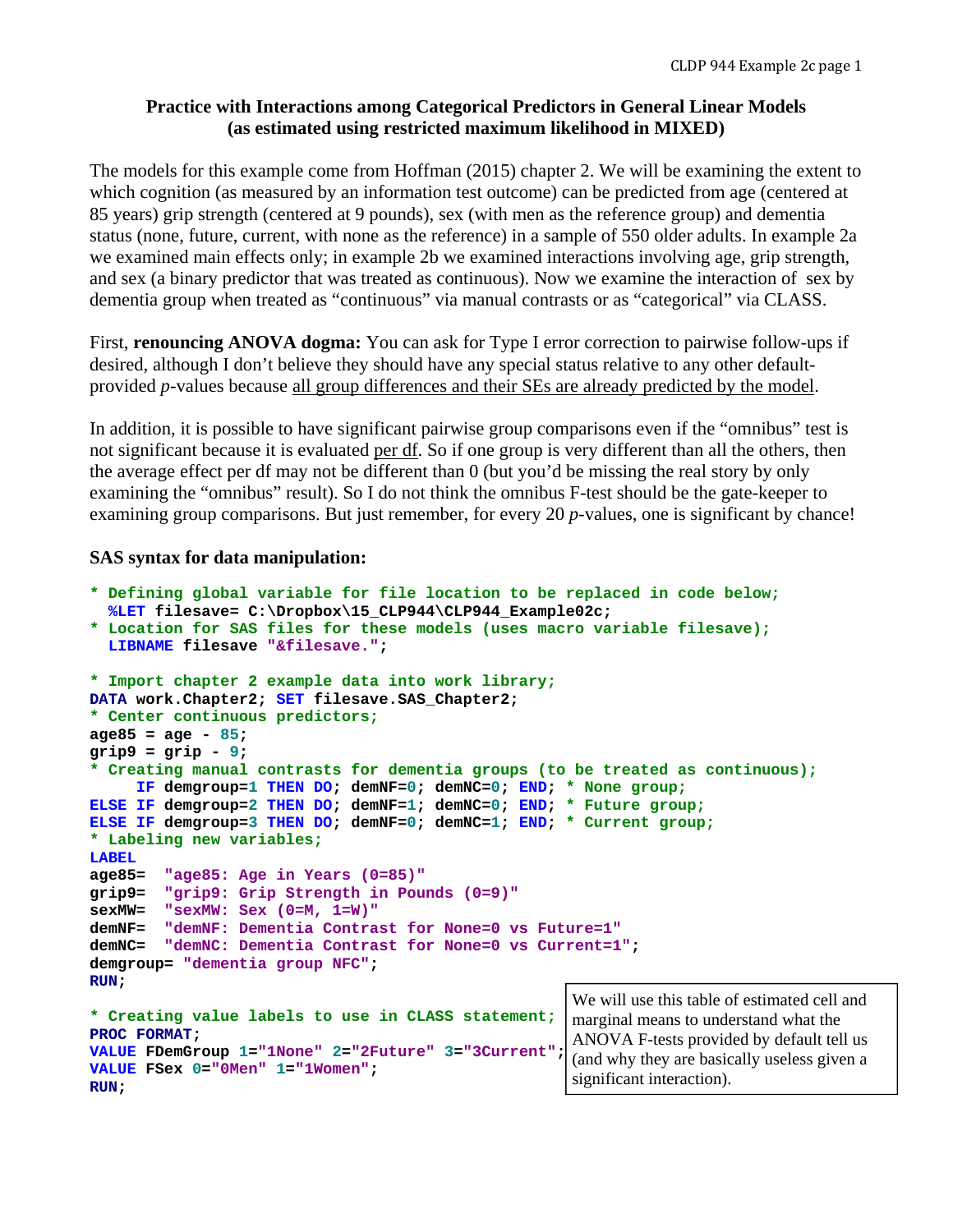## **Practice with Interactions among Categorical Predictors in General Linear Models (as estimated using restricted maximum likelihood in MIXED)**

The models for this example come from Hoffman (2015) chapter 2. We will be examining the extent to which cognition (as measured by an information test outcome) can be predicted from age (centered at 85 years) grip strength (centered at 9 pounds), sex (with men as the reference group) and dementia status (none, future, current, with none as the reference) in a sample of 550 older adults. In example 2a we examined main effects only; in example 2b we examined interactions involving age, grip strength, and sex (a binary predictor that was treated as continuous). Now we examine the interaction of sex by dementia group when treated as "continuous" via manual contrasts or as "categorical" via CLASS.

First, **renouncing ANOVA dogma:** You can ask for Type I error correction to pairwise follow-ups if desired, although I don't believe they should have any special status relative to any other defaultprovided *p*-values because all group differences and their SEs are already predicted by the model.

In addition, it is possible to have significant pairwise group comparisons even if the "omnibus" test is not significant because it is evaluated per df. So if one group is very different than all the others, then the average effect per df may not be different than 0 (but you'd be missing the real story by only examining the "omnibus" result). So I do not think the omnibus F-test should be the gate-keeper to examining group comparisons. But just remember, for every 20 *p*-values, one is significant by chance!

### **SAS syntax for data manipulation:**

```
* Defining global variable for file location to be replaced in code below;
   %LET filesave= C:\Dropbox\15_CLP944\CLP944_Example02c; 
* Location for SAS files for these models (uses macro variable filesave);
  LIBNAME filesave "&filesave."; 
* Import chapter 2 example data into work library;
DATA work.Chapter2; SET filesave.SAS_Chapter2; 
* Center continuous predictors;
age85 = age - 85; 
grip9 = grip - 9; 
* Creating manual contrasts for dementia groups (to be treated as continuous);
      IF demgroup=1 THEN DO; demNF=0; demNC=0; END; * None group;
ELSE IF demgroup=2 THEN DO; demNF=1; demNC=0; END; * Future group;
ELSE IF demgroup=3 THEN DO; demNF=0; demNC=1; END; * Current group;
* Labeling new variables;
LABEL 
age85= "age85: Age in Years (0=85)"
grip9= "grip9: Grip Strength in Pounds (0=9)"
sexMW= "sexMW: Sex (0=M, 1=W)"
demNF= "demNF: Dementia Contrast for None=0 vs Future=1"
demNC= "demNC: Dementia Contrast for None=0 vs Current=1"; 
demgroup= "dementia group NFC"; 
RUN; 
* Creating value labels to use in CLASS statement;
PROC FORMAT; 
VALUE FDemGroup 1="1None" 2="2Future" 3="3Current"; 
VALUE FSex 0="0Men" 1="1Women"; 
RUN;
                                                       We will use this table of estimated cell and 
                                                       marginal means to understand what the 
                                                       ANOVA F-tests provided by default tell us 
                                                       (and why they are basically useless given a 
                                                       significant interaction).
```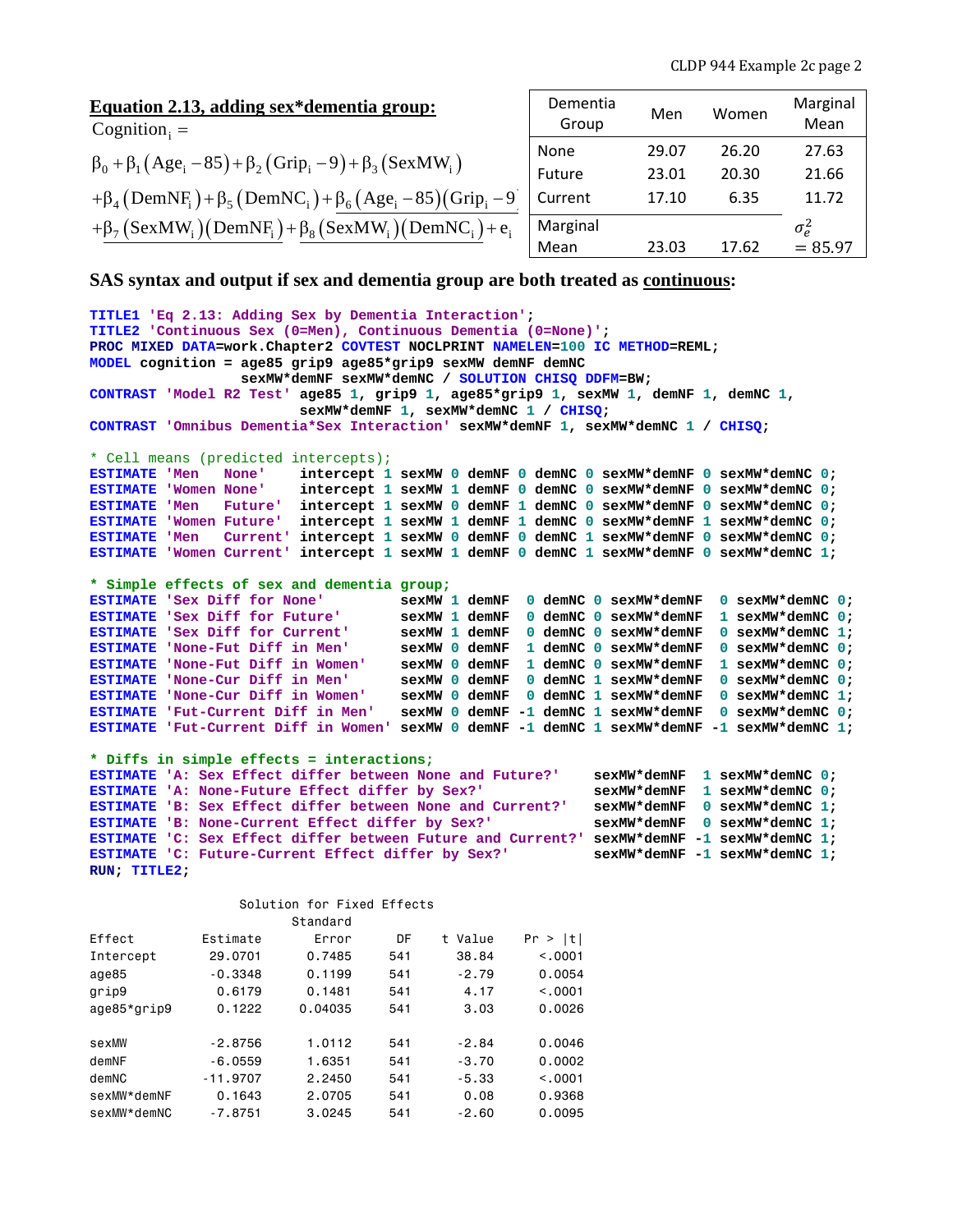| Equation 2.13, adding sex*dementia group:<br>$Cognition_i =$                | Dementia<br>Group | Men   | Women | Marginal<br>Mean  |
|-----------------------------------------------------------------------------|-------------------|-------|-------|-------------------|
|                                                                             | None              | 29.07 | 26.20 | 27.63             |
| $\beta_0 + \beta_1 (Age_i - 85) + \beta_2 (Grip_i - 9) + \beta_3 (SexMW_i)$ | Future            | 23.01 | 20.30 | 21.66             |
| $+\beta_4(DemNF_i)+\beta_5(DemNC_i)+\beta_6(Age_i-85)(Grip_i-9)$            | Current           | 17.10 | 6.35  | 11.72             |
| $+\beta_7(SexMW_i)(DemNF_i)+\beta_8(SexMW_i)(DemNC_i)+e_i$                  | Marginal          |       |       | $\sigma_{\rho}^2$ |
|                                                                             | Mean              | 23.03 | 17.62 | $= 85.97$         |

**SAS syntax and output if sex and dementia group are both treated as continuous:**

```
TITLE1 'Eq 2.13: Adding Sex by Dementia Interaction'; 
TITLE2 'Continuous Sex (0=Men), Continuous Dementia (0=None)'; 
PROC MIXED DATA=work.Chapter2 COVTEST NOCLPRINT NAMELEN=100 IC METHOD=REML; 
MODEL cognition = age85 grip9 age85*grip9 sexMW demNF demNC 
                 sexMW*demNF sexMW*demNC / SOLUTION CHISQ DDFM=BW; 
CONTRAST 'Model R2 Test' age85 1, grip9 1, age85*grip9 1, sexMW 1, demNF 1, demNC 1, 
                        sexMW*demNF 1, sexMW*demNC 1 / CHISQ; 
CONTRAST 'Omnibus Dementia*Sex Interaction' sexMW*demNF 1, sexMW*demNC 1 / CHISQ; 
* Cell means (predicted intercepts); 
ESTIMATE 'Men None' intercept 1 sexMW 0 demNF 0 demNC 0 sexMW*demNF 0 sexMW*demNC 0; 
                      intercept 1 sexMW 1 demNF 0 demNC 0 sexMW*demNF 0 sexMW*demNC 0;
ESTIMATE 'Men Future' intercept 1 sexMW 0 demNF 1 demNC 0 sexMW*demNF 0 sexMW*demNC 0; 
ESTIMATE 'Women Future' intercept 1 sexMW 1 demNF 1 demNC 0 sexMW*demNF 1 sexMW*demNC 0; 
ESTIMATE 'Men Current' intercept 1 sexMW 0 demNF 0 demNC 1 sexMW*demNF 0 sexMW*demNC 0; 
ESTIMATE 'Women Current' intercept 1 sexMW 1 demNF 0 demNC 1 sexMW*demNF 0 sexMW*demNC 1; 
* Simple effects of sex and dementia group;
ESTIMATE 'Sex Diff for None' sexMW 1 demNF 0 demNC 0 sexMW*demNF 0 sexMW*demNC 0; 
ESTIMATE 'Sex Diff for Future' sexMW 1 demNF 0 demNC 0 sexMW*demNF 1 sexMW*demNC 0; 
ESTIMATE 'Sex Diff for Current' sexMW 1 demNF 0 demNC 0 sexMW*demNF 0 sexMW*demNC 1; 
ESTIMATE 'None-Fut Diff in Men' sexMW 0 demNF 1 demNC 0 sexMW*demNF 0 sexMW*demNC 0; 
ESTIMATE 'None-Fut Diff in Women' sexMW 0 demNF 1 demNC 0 sexMW*demNF 1 sexMW*demNC 0; 
ESTIMATE 'None-Cur Diff in Men' sexMW 0 demNF 0 demNC 1 sexMW*demNF 0 sexMW*demNC 0; 
ESTIMATE 'None-Cur Diff in Women' sexMW 0 demNF 0 demNC 1 sexMW*demNF 0 sexMW*demNC 1; 
ESTIMATE 'Fut-Current Diff in Men' sexMW 0 demNF -1 demNC 1 sexMW*demNF 0 sexMW*demNC 0; 
ESTIMATE 'Fut-Current Diff in Women' sexMW 0 demNF -1 demNC 1 sexMW*demNF -1 sexMW*demNC 1; 
* Diffs in simple effects = interactions;
ESTIMATE 'A: Sex Effect differ between None and Future?' sexMW*demNF 1 sexMW*demNC 0; 
ESTIMATE 'A: None-Future Effect differ by Sex?' sexMW*demNF 1 sexMW*demNC 0; 
ESTIMATE 'B: Sex Effect differ between None and Current?' sexMW*demNF 0 sexMW*demNC 1; 
ESTIMATE 'B: None-Current Effect differ by Sex?'
ESTIMATE 'C: Sex Effect differ between Future and Current?' sexMW*demNF -1 sexMW*demNC 1; 
ESTIMATE 'C: Future-Current Effect differ by Sex?'
RUN; TITLE2; 
                 Solution for Fixed Effects 
                       Standard 
Effect Estimate Error DF t Value Pr > |t|
Intercept 29.0701 0.7485 541 38.84 <.0001 
age85 -0.3348 0.1199 541 -2.79 0.0054
grip9 0.6179 0.1481 541 4.17 <.0001 
age85*grip9 0.1222 0.04035 541 3.03 0.0026 
sexMW -2.8756 1.0112 541 -2.84 0.0046 
demNF -6.0559 1.6351 541 -3.70 0.0002
demNC -11.9707 2.2450 541 -5.33 <.0001
sexMW*demNF 0.1643 2.0705 541 0.08 0.9368
```
sexMW\*demNC -7.8751 3.0245 541 -2.60 0.0095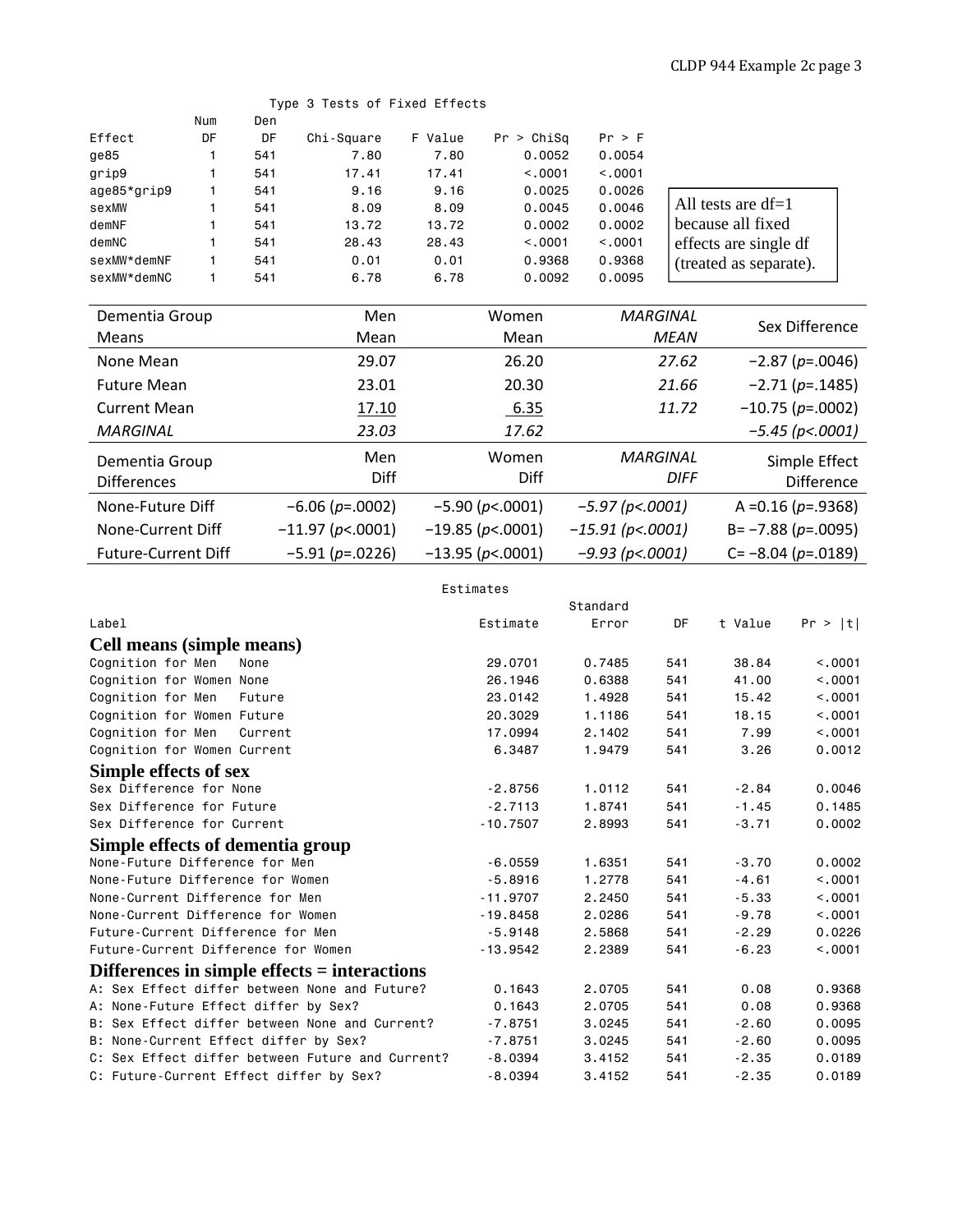#### Type 3 Tests of Fixed Effects

| <b>Means</b>   |     |     | Mean       |         | Mean                  |                 | MEAN |                        |  |
|----------------|-----|-----|------------|---------|-----------------------|-----------------|------|------------------------|--|
| Dementia Group |     |     | Men        |         | Women                 | <b>MARGINAL</b> |      | Sex Difference         |  |
| sexMW*demNC    |     | 541 | 6.78       | 6.78    | 0.0092                | 0.0095          |      |                        |  |
| sexMW*demNF    |     | 541 | 0.01       | 0.01    | 0.9368                | 0.9368          |      | (treated as separate). |  |
| demNC          |     | 541 | 28,43      | 28,43   | < 0.001               | < 0.0001        |      | effects are single df  |  |
| demNF          |     | 541 | 13.72      | 13.72   | 0.0002                | 0.0002          |      | because all fixed      |  |
| sexMW          |     | 541 | 8,09       | 8.09    | 0.0045                | 0.0046          |      | All tests are $df=1$   |  |
| age85*grip9    |     | 541 | 9.16       | 9.16    | 0.0025                | 0.0026          |      |                        |  |
| grip9          |     | 541 | 17.41      | 17.41   | < 0.001               | < 0.001         |      |                        |  |
| ge85           |     | 541 | 7.80       | 7.80    | 0.0052                | 0.0054          |      |                        |  |
| Effect         | DF  | DF  | Chi-Square | F Value | ChiSa<br>Pr<br>$\geq$ | Pr > F          |      |                        |  |
|                | Num | Den |            |         |                       |                 |      |                        |  |

| <b>Means</b>                         | Mean                  | Mean                 | MEAN                           | 37. PHILIPPIC                      |
|--------------------------------------|-----------------------|----------------------|--------------------------------|------------------------------------|
| None Mean                            | 29.07                 | 26.20                | 27.62                          | $-2.87(p=.0046)$                   |
| <b>Future Mean</b>                   | 23.01                 | 20.30                | 21.66                          | $-2.71(p=.1485)$                   |
| <b>Current Mean</b>                  | 17.10                 | 6.35                 | 11.72                          | $-10.75(p=.0002)$                  |
| <b>MARGINAL</b>                      | 23.03                 | 17.62                |                                | $-5.45$ (p <.0001)                 |
|                                      |                       |                      |                                |                                    |
| Dementia Group<br><b>Differences</b> | Men<br><b>Diff</b>    | Women<br><b>Diff</b> | <b>MARGINAL</b><br><b>DIFF</b> | Simple Effect<br><b>Difference</b> |
| None-Future Diff                     | $-6.06$ ( $p=.0002$ ) | $-5.90 (p< .0001)$   | $-5.97 (p< .0001)$             | A = 0.16 ( $p = .9368$ )           |
| None-Current Diff                    | $-11.97 (p< .0001)$   | $-19.85(p<.0001)$    | $-15.91 (p< .0001)$            | $B = -7.88(p=.0095)$               |

#### Estimates

|                                                  |            | Standard |     |         |         |
|--------------------------------------------------|------------|----------|-----|---------|---------|
| Label                                            | Estimate   | Error    | DF  | t Value | Pr >  t |
| Cell means (simple means)                        |            |          |     |         |         |
| Cognition for Men<br>None                        | 29,0701    | 0.7485   | 541 | 38.84   | < .0001 |
| Cognition for Women None                         | 26,1946    | 0.6388   | 541 | 41.00   | < .0001 |
| Cognition for Men<br>Future                      | 23,0142    | 1.4928   | 541 | 15.42   | < 0.001 |
| Cognition for Women Future                       | 20,3029    | 1.1186   | 541 | 18.15   | < 0.001 |
| Cognition for Men<br>Current                     | 17,0994    | 2.1402   | 541 | 7.99    | < .0001 |
| Cognition for Women Current                      | 6.3487     | 1.9479   | 541 | 3.26    | 0.0012  |
| Simple effects of sex                            |            |          |     |         |         |
| Sex Difference for None                          | $-2,8756$  | 1.0112   | 541 | $-2.84$ | 0.0046  |
| Sex Difference for Future                        | $-2.7113$  | 1.8741   | 541 | $-1.45$ | 0.1485  |
| Sex Difference for Current                       | $-10.7507$ | 2.8993   | 541 | $-3.71$ | 0.0002  |
| Simple effects of dementia group                 |            |          |     |         |         |
| None-Future Difference for Men                   | $-6.0559$  | 1.6351   | 541 | $-3.70$ | 0.0002  |
| None-Future Difference for Women                 | $-5.8916$  | 1.2778   | 541 | $-4.61$ | < 0.001 |
| None-Current Difference for Men                  | $-11.9707$ | 2,2450   | 541 | $-5.33$ | < 0.001 |
| None-Current Difference for Women                | $-19.8458$ | 2.0286   | 541 | $-9.78$ | < 0.001 |
| Future-Current Difference for Men                | $-5.9148$  | 2,5868   | 541 | $-2.29$ | 0.0226  |
| Future-Current Difference for Women              | $-13.9542$ | 2,2389   | 541 | $-6.23$ | < 0.001 |
| Differences in simple effects $=$ interactions   |            |          |     |         |         |
| A: Sex Effect differ between None and Future?    | 0.1643     | 2,0705   | 541 | 0.08    | 0.9368  |
| A: None-Future Effect differ by Sex?             | 0.1643     | 2.0705   | 541 | 0.08    | 0.9368  |
| B: Sex Effect differ between None and Current?   | $-7.8751$  | 3.0245   | 541 | $-2.60$ | 0.0095  |
| B: None-Current Effect differ by Sex?            | $-7.8751$  | 3.0245   | 541 | $-2.60$ | 0.0095  |
| C: Sex Effect differ between Future and Current? | $-8,0394$  | 3.4152   | 541 | $-2.35$ | 0.0189  |
| C: Future-Current Effect differ by Sex?          | $-8,0394$  | 3.4152   | 541 | $-2.35$ | 0.0189  |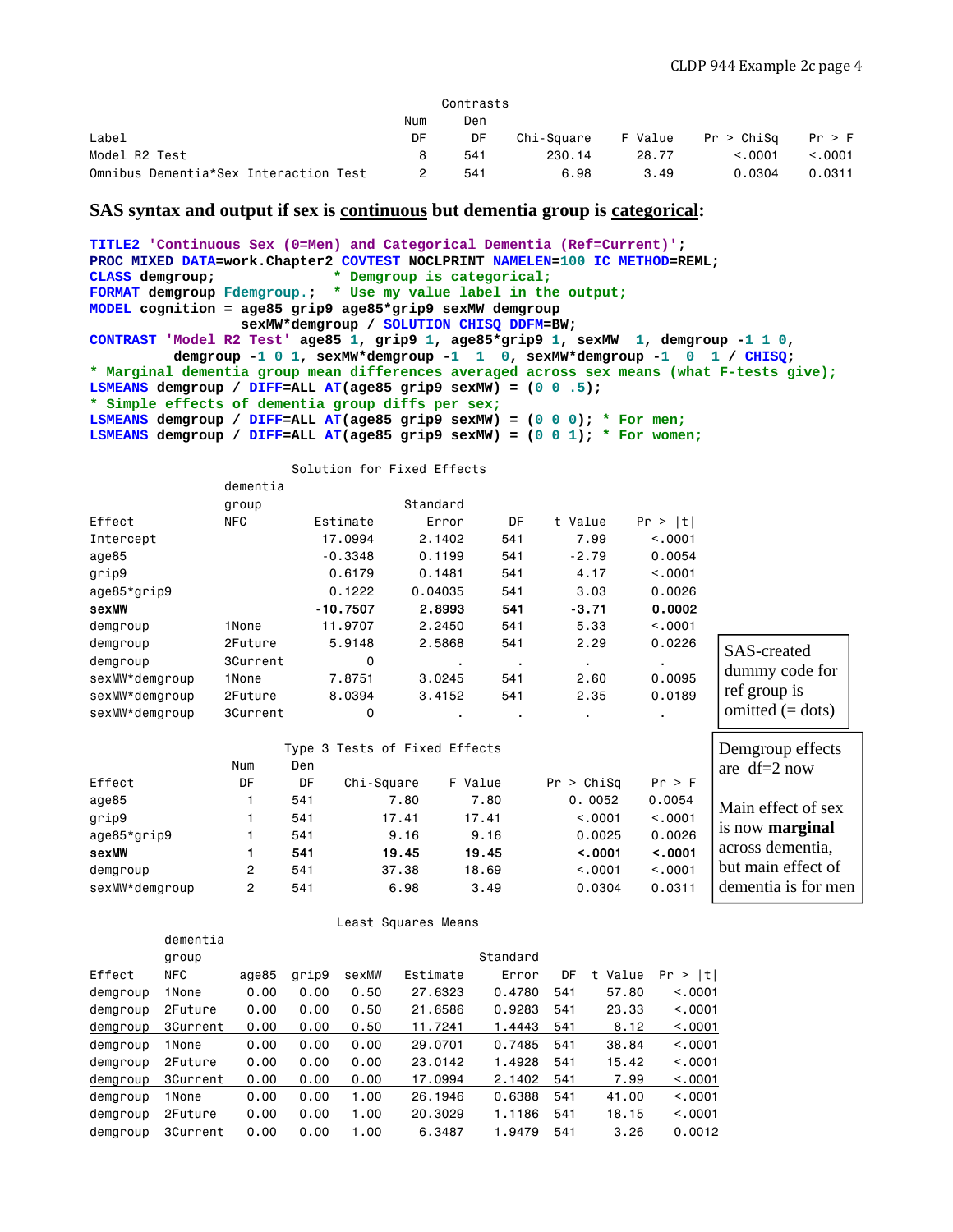#### Contrasts

|                                       | Num | Den |            |       |                                  |        |
|---------------------------------------|-----|-----|------------|-------|----------------------------------|--------|
| Label                                 | DF  | DF  | Chi-Sauare |       | F Value     Pr > ChiSq    Pr > F |        |
| Model R2 Test                         |     | 541 | 230.14     | 28.77 | < 0.001                          | <.0001 |
| Omnibus Dementia*Sex Interaction Test |     | 541 | 6.98       | 3.49  | 0.0304                           | 0.0311 |

#### **SAS syntax and output if sex is continuous but dementia group is categorical:**

```
TITLE2 'Continuous Sex (0=Men) and Categorical Dementia (Ref=Current)'; 
PROC MIXED DATA=work.Chapter2 COVTEST NOCLPRINT NAMELEN=100 IC METHOD=REML; 
CLASS demgroup; * Demgroup is categorical;
FORMAT demgroup Fdemgroup.; * Use my value label in the output;
MODEL cognition = age85 grip9 age85*grip9 sexMW demgroup 
                  sexMW*demgroup / SOLUTION CHISQ DDFM=BW; 
CONTRAST 'Model R2 Test' age85 1, grip9 1, age85*grip9 1, sexMW 1, demgroup -1 1 0, 
          demgroup -1 0 1, sexMW*demgroup -1 1 0, sexMW*demgroup -1 0 1 / CHISQ; 
* Marginal dementia group mean differences averaged across sex means (what F-tests give);
LSMEANS demgroup / DIFF=ALL AT(age85 grip9 sexMW) = (0 0 .5);
* Simple effects of dementia group diffs per sex;
LSMEANS demgroup / DIFF=ALL AT(age85 grip9 sexMW) = (0 0 0); * For men;
LSMEANS demgroup / DIFF=ALL AT(age85 grip9 sexMW) = (0 0 1); * For women;
```
Solution for Fixed Effects

dementia

|                | group           |            | Standard |     |           |                |                    |
|----------------|-----------------|------------|----------|-----|-----------|----------------|--------------------|
| Effect         | <b>NFC</b>      | Estimate   | Error    | DF  | t Value   | Pr >  t        |                    |
| Intercept      |                 | 17,0994    | 2.1402   | 541 | 7.99      | < 0.0001       |                    |
| age85          |                 | $-0.3348$  | 0.1199   | 541 | $-2.79$   | 0.0054         |                    |
| grip9          |                 | 0.6179     | 0.1481   | 541 | 4.17      | < 0.001        |                    |
| age85*grip9    |                 | 0.1222     | 0.04035  | 541 | 3.03      | 0.0026         |                    |
| sexMW          |                 | $-10.7507$ | 2.8993   | 541 | $-3.71$   | 0.0002         |                    |
| demgroup       | 1None           | 11,9707    | 2,2450   | 541 | 5.33      | < 0.001        |                    |
| demgroup       | 2Future         | 5.9148     | 2,5868   | 541 | 2.29      | 0.0226         | SAS-created        |
| demgroup       | <b>3Current</b> | 0          | ٠        |     |           | $\blacksquare$ |                    |
| sexMW*demgroup | 1None           | 7.8751     | 3,0245   | 541 | 2.60      | 0.0095         | dummy code for     |
| sexMW*demgroup | 2Future         | 8,0394     | 3.4152   | 541 | 2.35      | 0.0189         | ref group is       |
| sexMW*demgroup | 3Current        | 0          | ٠        |     | $\bullet$ |                | omitted $(= dots)$ |

|                |                |     | Type 3 Tests of Fixed Effects |             |            |          | Demgroup effects       |
|----------------|----------------|-----|-------------------------------|-------------|------------|----------|------------------------|
|                | Num            | Den |                               |             |            |          | are $df=2$ now         |
| Effect         | DF             | DF  | Chi-Square                    | Value<br>F. | Pr > Chisq | Pr > F   |                        |
| age85          |                | 541 | 7.80                          | 7.80        | 0.0052     | 0.0054   | Main effect of sex     |
| grip9          |                | 541 | 17.41                         | 17.41       | < 0.0001   | < 0.0001 |                        |
| age85*grip9    |                | 541 | 9.16                          | 9.16        | 0.0025     | 0.0026   | is now <b>marginal</b> |
| sexMW          |                | 541 | 19.45                         | 19.45       | < 0.0001   | < 0.001  | across dementia,       |
| demgroup       | 2              | 541 | 37.38                         | 18,69       | < 0.0001   | < 0.0001 | but main effect of     |
| sexMW*demgroup | $\overline{2}$ | 541 | 6.98                          | 3.49        | 0.0304     | 0.0311   | dementia is for men    |

Least Squares Means

|          | dementia   |       |       |       |          |          |     |         |          |
|----------|------------|-------|-------|-------|----------|----------|-----|---------|----------|
|          | group      |       |       |       |          | Standard |     |         |          |
| Effect   | <b>NFC</b> | age85 | grip9 | sexMW | Estimate | Error    | DF  | t Value | Pr >  t  |
| demgroup | 1None      | 0.00  | 0.00  | 0.50  | 27.6323  | 0.4780   | 541 | 57.80   | < 0.0001 |
| demgroup | 2Future    | 0.00  | 0.00  | 0.50  | 21.6586  | 0.9283   | 541 | 23.33   | < 0.0001 |
| demgroup | 3Current   | 0.00  | 0.00  | 0.50  | 11.7241  | 1.4443   | 541 | 8.12    | < 0.0001 |
| demgroup | 1None      | 0.00  | 0.00  | 0.00  | 29,0701  | 0.7485   | 541 | 38.84   | < 0.001  |
| demgroup | 2Future    | 0.00  | 0.00  | 0.00  | 23.0142  | 1.4928   | 541 | 15.42   | < 0.001  |
| demgroup | 3Current   | 0.00  | 0.00  | 0.00  | 17,0994  | 2.1402   | 541 | 7.99    | < 0.0001 |
| demgroup | 1None      | 0.00  | 0.00  | 1.00  | 26.1946  | 0.6388   | 541 | 41.00   | < 0.001  |
| demgroup | 2Future    | 0.00  | 0.00  | 1.00  | 20.3029  | 1.1186   | 541 | 18.15   | < 0.001  |
| demgroup | 3Current   | 0.00  | 0.00  | 1.00  | 6.3487   | 1.9479   | 541 | 3.26    | 0.0012   |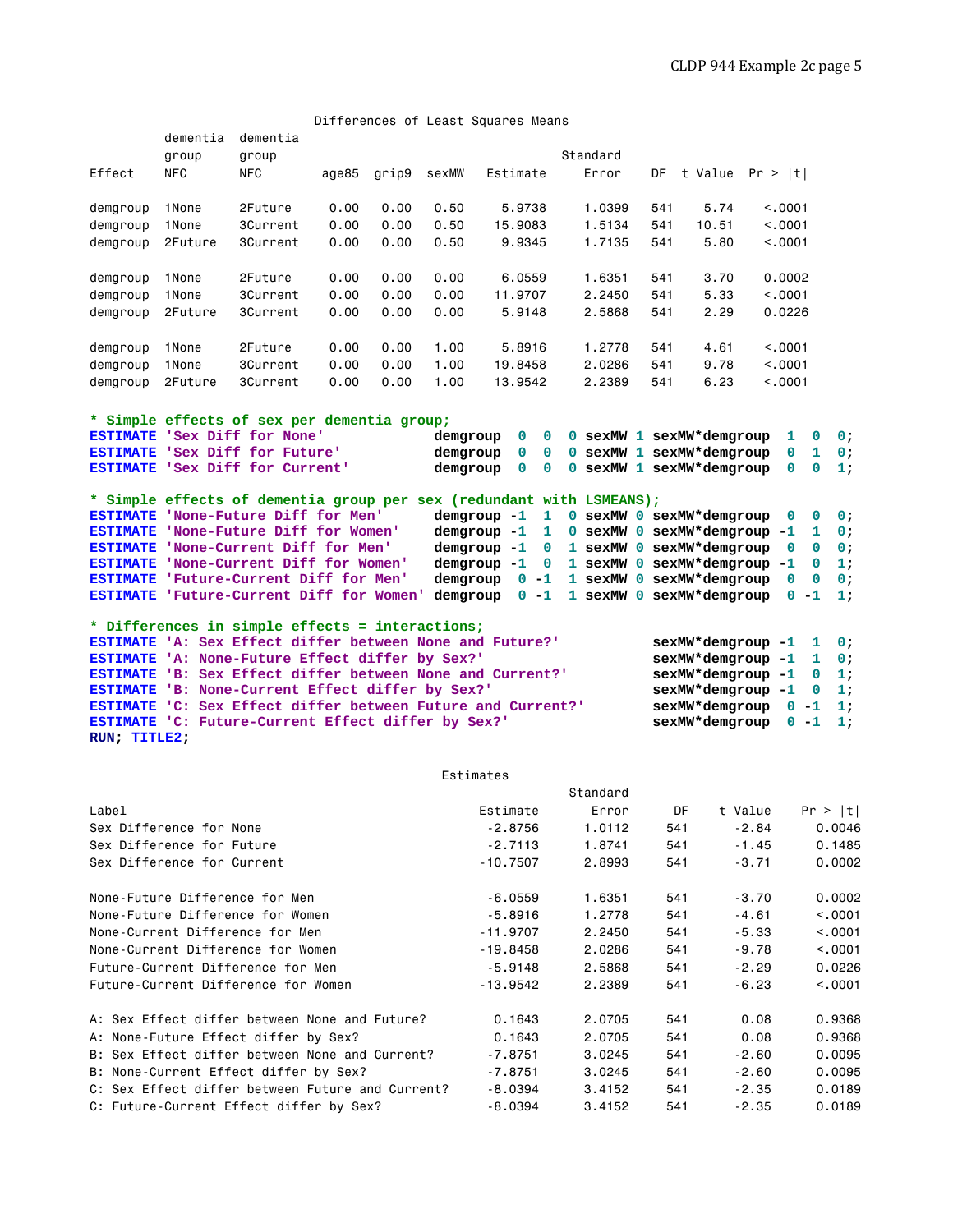|              | dementia   | dementia                                                                                                                                         |       |       |                                  | Differences of Least Squares Means                                                                                                         |          |     |                                                                                  |                                  |                                  |                |
|--------------|------------|--------------------------------------------------------------------------------------------------------------------------------------------------|-------|-------|----------------------------------|--------------------------------------------------------------------------------------------------------------------------------------------|----------|-----|----------------------------------------------------------------------------------|----------------------------------|----------------------------------|----------------|
|              | group      | group                                                                                                                                            |       |       |                                  |                                                                                                                                            | Standard |     |                                                                                  |                                  |                                  |                |
| Effect       | <b>NFC</b> | <b>NFC</b>                                                                                                                                       | age85 | grip9 | sexMW                            | Estimate                                                                                                                                   | Error    |     | DF t Value                                                                       | Pr >  t                          |                                  |                |
| demgroup     | 1None      | 2Future                                                                                                                                          | 0.00  | 0.00  | 0.50                             | 5.9738                                                                                                                                     | 1.0399   | 541 | 5.74                                                                             | < .0001                          |                                  |                |
| demgroup     | 1None      | 3Current                                                                                                                                         | 0.00  | 0.00  | 0.50                             | 15,9083                                                                                                                                    | 1.5134   | 541 | 10.51                                                                            | < 0.001                          |                                  |                |
| demgroup     | 2Future    | 3Current                                                                                                                                         | 0.00  | 0.00  | 0.50                             | 9.9345                                                                                                                                     | 1.7135   | 541 | 5.80                                                                             | < 0.001                          |                                  |                |
| demgroup     | 1None      | 2Future                                                                                                                                          | 0.00  | 0.00  | 0.00                             | 6,0559                                                                                                                                     | 1.6351   | 541 | 3.70                                                                             | 0.0002                           |                                  |                |
| demgroup     | 1None      | 3Current                                                                                                                                         | 0.00  | 0.00  | 0.00                             | 11,9707                                                                                                                                    | 2,2450   | 541 | 5.33                                                                             | < 0.001                          |                                  |                |
| demgroup     | 2Future    | 3Current                                                                                                                                         | 0.00  | 0.00  | 0.00                             | 5.9148                                                                                                                                     | 2,5868   | 541 | 2.29                                                                             | 0.0226                           |                                  |                |
| demgroup     | 1None      | 2Future                                                                                                                                          | 0.00  | 0.00  | 1.00                             | 5.8916                                                                                                                                     | 1.2778   | 541 | 4.61                                                                             | < 0.001                          |                                  |                |
| demgroup     | 1None      | 3Current                                                                                                                                         | 0.00  | 0.00  | 1.00                             | 19,8458                                                                                                                                    | 2,0286   | 541 | 9.78                                                                             | < 0.001                          |                                  |                |
| demgroup     | 2Future    | <b>3Current</b>                                                                                                                                  | 0.00  | 0.00  | 1.00                             | 13,9542                                                                                                                                    | 2,2389   | 541 | 6.23                                                                             | < 0.001                          |                                  |                |
|              |            | * Simple effects of sex per dementia group;<br>ESTIMATE 'Sex Diff for None'<br>ESTIMATE 'Sex Diff for Future'<br>ESTIMATE 'Sex Diff for Current' |       |       | demgroup<br>demgroup<br>demgroup | $\mathbf 0$<br>0<br>$\mathbf 0$<br>$\mathbf 0$<br>$\mathbf 0$<br>0<br>* Simple effects of dementia group per sex (redundant with LSMEANS); |          |     | 0 sexMW 1 sexMW*demgroup<br>0 sexMW 1 sexMW*demgroup<br>0 sexMW 1 sexMW*demgroup | 1<br>$\mathbf 0$<br>$\mathbf{0}$ | $\mathbf 0$<br>$\mathbf{1}$<br>0 | 0:<br>0;<br>1: |
|              |            | ESTIMATE 'None-Future Diff for Men'                                                                                                              |       |       |                                  | demgroup -1<br>1.                                                                                                                          |          |     | 0 sexMW 0 sexMW*demgroup                                                         | $\mathbf 0$                      | $\mathbf 0$                      | 0:             |
|              |            | ESTIMATE 'None-Future Diff for Women'                                                                                                            |       |       |                                  | $d$ emgroup $-1$<br>1.                                                                                                                     |          |     | 0 sexMW 0 sexMW*demgroup -1                                                      |                                  | 1                                | 0:             |
|              |            | ESTIMATE 'None-Current Diff for Men'                                                                                                             |       |       |                                  | $d$ emgroup $-1$<br>0                                                                                                                      |          |     | 1 sexMW 0 sexMW*demgroup                                                         | $\mathbf 0$                      | $\mathbf 0$                      | 0;             |
|              |            | ESTIMATE 'None-Current Diff for Women'                                                                                                           |       |       |                                  | $d$ emgroup $-1$<br>$\mathbf 0$                                                                                                            |          |     | 1 sexMW 0 sexMW*demgroup -1                                                      |                                  | $\mathbf{0}$                     | 1:             |
|              |            | ESTIMATE 'Future-Current Diff for Men'                                                                                                           |       |       | demgroup                         | $0 - 1$                                                                                                                                    |          |     | 1 sexMW 0 sexMW*demgroup                                                         | $\mathbf 0$                      | $\mathbf 0$                      | 0:             |
|              |            | ESTIMATE 'Future-Current Diff for Women'                                                                                                         |       |       | demgroup                         | $0 -1$                                                                                                                                     |          |     | 1 sexMW 0 sexMW*demgroup                                                         |                                  | $0 - 1$                          | 1:             |
|              |            | * Differences in simple effects = interactions;                                                                                                  |       |       |                                  |                                                                                                                                            |          |     |                                                                                  |                                  |                                  |                |
|              |            |                                                                                                                                                  |       |       |                                  | ESTIMATE 'A: Sex Effect differ between None and Future?'                                                                                   |          |     | sexMW*demgroup -1                                                                |                                  | 1                                | 0;             |
|              |            | ESTIMATE 'A: None-Future Effect differ by Sex?'                                                                                                  |       |       |                                  |                                                                                                                                            |          |     | sexMW*demgroup -1                                                                |                                  | 1                                | 0:             |
|              |            |                                                                                                                                                  |       |       |                                  | ESTIMATE 'B: Sex Effect differ between None and Current?'                                                                                  |          |     | sexMW*demgroup -1                                                                |                                  | $\mathbf 0$                      | 1:             |
|              |            | ESTIMATE 'B: None-Current Effect differ by Sex?'                                                                                                 |       |       |                                  |                                                                                                                                            |          |     | sexMW*demgroup -1                                                                |                                  | $\mathbf{0}$                     | 1:             |
|              |            |                                                                                                                                                  |       |       |                                  | ESTIMATE 'C: Sex Effect differ between Future and Current?'                                                                                |          |     | sexMW*demgroup                                                                   |                                  | $0 - 1$                          | 1:             |
| RUN; TITLE2; |            | ESTIMATE 'C: Future-Current Effect differ by Sex?'                                                                                               |       |       |                                  |                                                                                                                                            |          |     | sexMW*demgroup                                                                   |                                  | $0 - 1$                          | 1:             |
|              |            |                                                                                                                                                  |       |       |                                  |                                                                                                                                            |          |     |                                                                                  |                                  |                                  |                |
|              |            |                                                                                                                                                  |       |       | Estimates                        |                                                                                                                                            |          |     |                                                                                  |                                  |                                  |                |

|                                                  |            | Standard |     |         |         |
|--------------------------------------------------|------------|----------|-----|---------|---------|
| Label                                            | Estimate   | Error    | DF  | t Value | Pr >  t |
| Sex Difference for None                          | $-2.8756$  | 1.0112   | 541 | $-2.84$ | 0.0046  |
| Sex Difference for Future                        | $-2.7113$  | 1.8741   | 541 | $-1.45$ | 0.1485  |
| Sex Difference for Current                       | $-10.7507$ | 2.8993   | 541 | $-3.71$ | 0.0002  |
| None-Future Difference for Men                   | $-6.0559$  | 1.6351   | 541 | $-3.70$ | 0.0002  |
| None-Future Difference for Women                 | $-5.8916$  | 1,2778   | 541 | -4.61   | < 0.001 |
| None-Current Difference for Men                  | $-11.9707$ | 2,2450   | 541 | $-5.33$ | < 0.001 |
| None-Current Difference for Women                | $-19.8458$ | 2.0286   | 541 | $-9.78$ | < 0.001 |
| Future-Current Difference for Men                | $-5.9148$  | 2,5868   | 541 | $-2.29$ | 0.0226  |
| Future-Current Difference for Women              | $-13.9542$ | 2,2389   | 541 | $-6.23$ | < 0.001 |
| A: Sex Effect differ between None and Future?    | 0.1643     | 2,0705   | 541 | 0.08    | 0.9368  |
| A: None-Future Effect differ by Sex?             | 0.1643     | 2.0705   | 541 | 0.08    | 0.9368  |
| B: Sex Effect differ between None and Current?   | $-7.8751$  | 3.0245   | 541 | $-2.60$ | 0.0095  |
| B: None-Current Effect differ by Sex?            | $-7.8751$  | 3,0245   | 541 | $-2.60$ | 0.0095  |
| C: Sex Effect differ between Future and Current? | $-8,0394$  | 3.4152   | 541 | $-2.35$ | 0.0189  |
| C: Future-Current Effect differ by Sex?          | $-8,0394$  | 3.4152   | 541 | $-2.35$ | 0.0189  |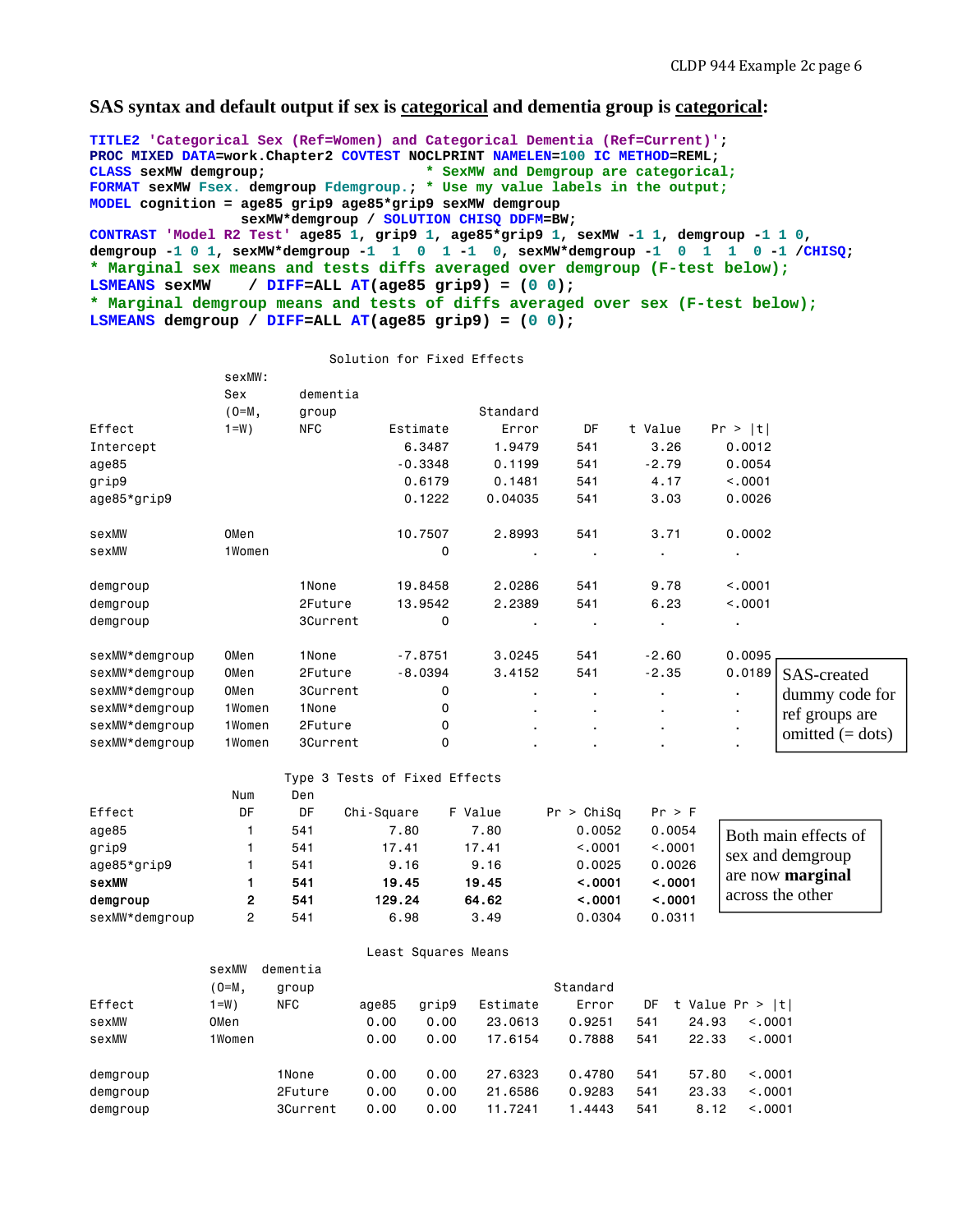**SAS syntax and default output if sex is categorical and dementia group is categorical:**

```
TITLE2 'Categorical Sex (Ref=Women) and Categorical Dementia (Ref=Current)'; 
PROC MIXED DATA=work.Chapter2 COVTEST NOCLPRINT NAMELEN=100 IC METHOD=REML; 
CLASS sexMW demgroup; * SexMW and Demgroup are categorical;
FORMAT sexMW Fsex. demgroup Fdemgroup.; * Use my value labels in the output;
MODEL cognition = age85 grip9 age85*grip9 sexMW demgroup 
                 sexMW*demgroup / SOLUTION CHISQ DDFM=BW; 
CONTRAST 'Model R2 Test' age85 1, grip9 1, age85*grip9 1, sexMW -1 1, demgroup -1 1 0, 
demgroup -1 0 1, sexMW*demgroup -1 1 0 1 -1 0, sexMW*demgroup -1 0 1 1 0 -1 /CHISQ; 
* Marginal sex means and tests diffs averaged over demgroup (F-test below);
LSMEANS sexMW / DIFF=ALL AT(age85 grip9) = (0 0); 
* Marginal demgroup means and tests of diffs averaged over sex (F-test below);
LSMEANS demgroup / DIFF=ALL AT(age85 grip9) = (0 0);
```
Solution for Fixed Effects

sexMW:

|                | Sex<br>$(0=M,$ | dementia   |           | Standard       |                |                |                |                    |
|----------------|----------------|------------|-----------|----------------|----------------|----------------|----------------|--------------------|
| Effect         |                | group      |           | Error          | <b>DF</b>      |                |                |                    |
|                | $1 = W$        | <b>NFC</b> | Estimate  |                |                | t Value        | Pr >  t        |                    |
| Intercept      |                |            | 6.3487    | 1.9479         | 541            | 3.26           | 0.0012         |                    |
| age85          |                |            | $-0.3348$ | 0.1199         | 541            | $-2.79$        | 0.0054         |                    |
| grip9          |                |            | 0.6179    | 0.1481         | 541            | 4.17           | < .0001        |                    |
| age85*grip9    |                |            | 0.1222    | 0.04035        | 541            | 3.03           | 0.0026         |                    |
| sexMW          | OMen           |            | 10.7507   | 2.8993         | 541            | 3.71           | 0.0002         |                    |
| sexMW          | 1Women         |            | 0         |                | $\blacksquare$ | $\bullet$      | ٠              |                    |
| demgroup       |                | 1None      | 19.8458   | 2,0286         | 541            | 9.78           | < 0.0001       |                    |
| demgroup       |                | 2Future    | 13,9542   | 2.2389         | 541            | 6.23           | < .0001        |                    |
| demgroup       |                | 3Current   | 0         |                | ٠              | $\bullet$      | $\blacksquare$ |                    |
| sexMW*demgroup | OMen           | 1None      | $-7.8751$ | 3.0245         | 541            | $-2.60$        | 0.0095         |                    |
| sexMW*demgroup | OMen           | 2Future    | $-8.0394$ | 3.4152         | 541            | $-2.35$        | 0.0189         | SAS-created        |
| sexMW*demgroup | OMen           | 3Current   | 0         | $\blacksquare$ | ٠              | $\blacksquare$ | $\blacksquare$ | dummy code for     |
| sexMW*demgroup | 1Women         | 1None      | 0         | $\blacksquare$ | $\blacksquare$ | $\blacksquare$ | $\blacksquare$ | ref groups are     |
| sexMW*demgroup | 1Women         | 2Future    | 0         | $\blacksquare$ | $\blacksquare$ | $\blacksquare$ | $\blacksquare$ |                    |
| sexMW*demgroup | 1Women         | 3Current   | 0         |                |                |                | $\bullet$      | omitted $(=$ dots) |

|                |     |     | Type 3 Tests of Fixed Effects |         |           |          |                         |
|----------------|-----|-----|-------------------------------|---------|-----------|----------|-------------------------|
|                | Num | Den |                               |         |           |          |                         |
| Effect         | DF  | DF  | Chi-Square                    | F Value | Pr > Chis | Pr > F   |                         |
| age85          |     | 541 | 7.80                          | 7.80    | 0.0052    | 0.0054   | Both main effects of    |
| grip9          |     | 541 | 17.41                         | 17.41   | < 0.0001  | < 0.001  | sex and demgroup        |
| age85*grip9    |     | 541 | 9.16                          | 9.16    | 0.0025    | 0.0026   |                         |
| sexMW          |     | 541 | 19.45                         | 19.45   | < 0.0001  | < 0.0001 | are now <b>marginal</b> |
| demgroup       | 2   | 541 | 129.24                        | 64.62   | 5.0001    | < .0001  | across the other        |
| sexMW*demgroup | 2   | 541 | 6.98                          | 3.49    | 0.0304    | 0.0311   |                         |

|          |        |          |       | LUUU UUUU UU MUUNO |          |          |     |                    |          |
|----------|--------|----------|-------|--------------------|----------|----------|-----|--------------------|----------|
|          | sexMW  | dementia |       |                    |          |          |     |                    |          |
|          | (0=M,  | group    |       |                    |          | Standard |     |                    |          |
| Effect   | 1 = W) | NFC      | age85 | grip9              | Estimate | Error    | DF  | t Value Pr > $ t $ |          |
| sexMW    | OMen   |          | 0.00  | 0.00               | 23,0613  | 0.9251   | 541 | 24.93              | < 0.0001 |
| sexMW    | 1Women |          | 0.00  | 0.00               | 17.6154  | 0.7888   | 541 | 22,33              | < 0.0001 |
| demgroup |        | 1None    | 0.00  | 0.00               | 27,6323  | 0.4780   | 541 | 57.80              | < 0.0001 |
| demgroup |        | 2Future  | 0.00  | 0.00               | 21,6586  | 0.9283   | 541 | 23.33              | < 0.0001 |
| demgroup |        | 3Current | 0.00  | 0.00               | 11.7241  | 1.4443   | 541 | 8.12               | < 0.001  |

Least Squares Means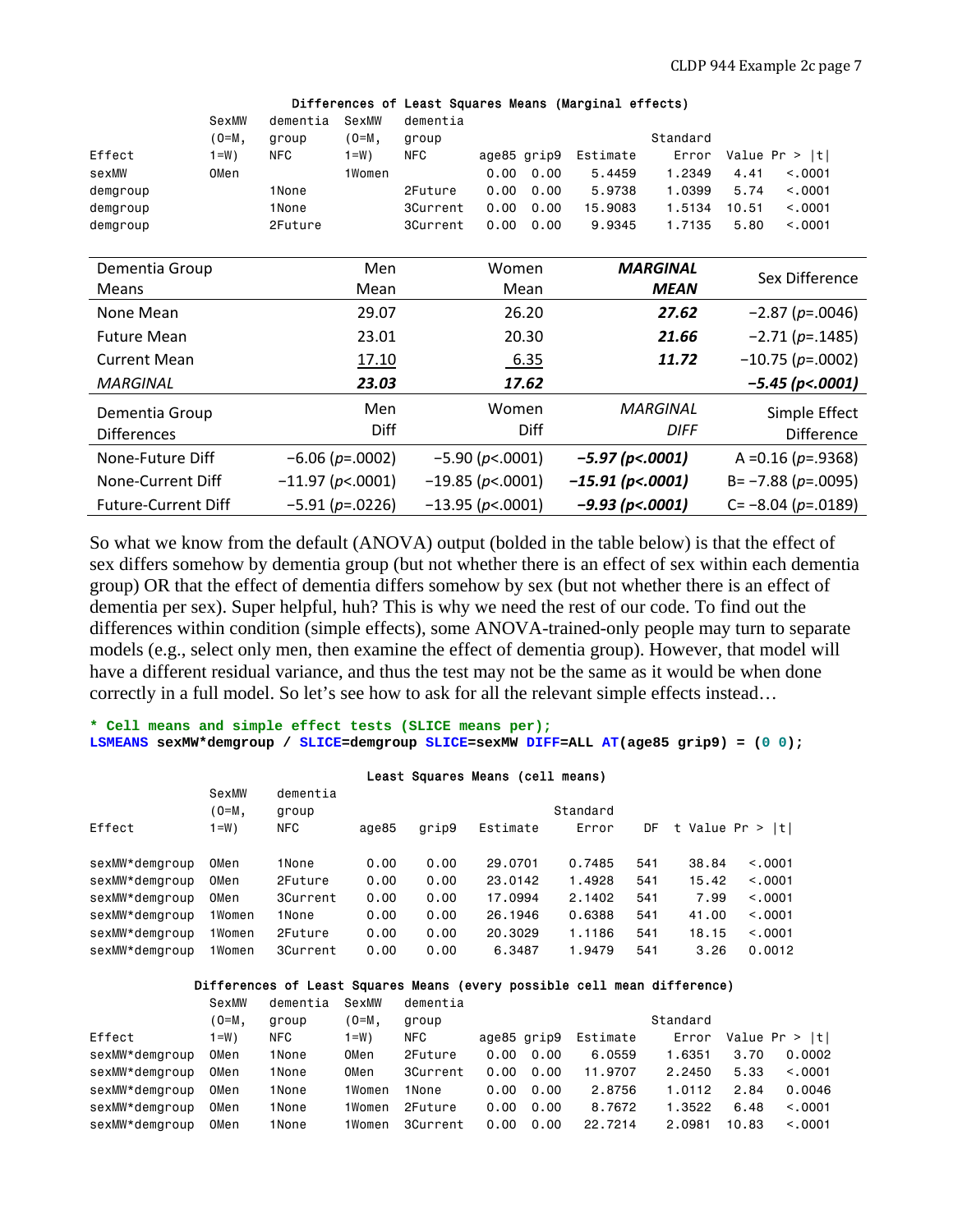| Effect<br>sexMW<br>demgroup<br>demgroup<br>demgroup | SexMW<br>$(0=M,$<br>$1 = W$<br>OMen | dementia<br>group<br><b>NFC</b><br>1None<br>1None<br>2Future | SexMW<br>$(0=M,$<br>$1 = W$<br>1Women | dementia<br>group<br><b>NFC</b><br>2Future<br>3Current<br>3Current | 0.00<br>0.00<br>0.00<br>0.00 | age85 grip9<br>0.00<br>0.00<br>0.00<br>0.00 | Estimate<br>5.4459<br>5.9738<br>15,9083<br>9.9345 | Standard<br>Error<br>1.2349<br>1.0399<br>1.5134<br>1.7135 | 4.41<br>5.74<br>10.51<br>5.80 | Value $Pr >  t $<br>< .0001<br>< 0.001<br>< 0.001<br>< .0001 |
|-----------------------------------------------------|-------------------------------------|--------------------------------------------------------------|---------------------------------------|--------------------------------------------------------------------|------------------------------|---------------------------------------------|---------------------------------------------------|-----------------------------------------------------------|-------------------------------|--------------------------------------------------------------|
| Dementia Group                                      |                                     |                                                              | Men                                   |                                                                    | Women                        |                                             |                                                   | <b>MARGINAL</b>                                           |                               | Sex Difference                                               |
| Means                                               |                                     |                                                              | Mean                                  |                                                                    |                              | Mean                                        |                                                   | <b>MEAN</b>                                               |                               |                                                              |
| None Mean                                           |                                     |                                                              | 29.07                                 |                                                                    |                              | 26.20                                       |                                                   | 27.62                                                     |                               | $-2.87$ (p=.0046)                                            |
| <b>Future Mean</b>                                  |                                     |                                                              | 23.01                                 |                                                                    |                              | 20.30                                       |                                                   | 21.66                                                     |                               | $-2.71(p=.1485)$                                             |
| <b>Current Mean</b>                                 |                                     |                                                              | 17.10                                 |                                                                    |                              | 6.35                                        |                                                   | 11.72                                                     | $-10.75(p=.0002)$             |                                                              |
| <b>MARGINAL</b>                                     |                                     |                                                              | 23.03                                 |                                                                    |                              | 17.62                                       |                                                   |                                                           |                               | $-5.45$ (p<.0001)                                            |
| Dementia Group                                      |                                     |                                                              | Men                                   |                                                                    | Women                        |                                             |                                                   | <b>MARGINAL</b>                                           |                               | Simple Effect                                                |
| <b>Differences</b>                                  |                                     |                                                              | Diff                                  |                                                                    |                              | Diff                                        |                                                   | DIFF                                                      |                               | <b>Difference</b>                                            |
| None-Future Diff                                    |                                     |                                                              | $-6.06$ ( $p=.0002$ )                 |                                                                    | $-5.90 (p< .0001)$           |                                             | $-5.97 (p< .0001)$                                |                                                           |                               | A = 0.16 ( $p = .9368$ )                                     |
| None-Current Diff                                   |                                     |                                                              | $-11.97 (p< .0001)$                   |                                                                    | $-19.85 (p< .0001)$          |                                             | $-15.91 (p<.0001)$                                |                                                           |                               | B= $-7.88(p=.0095)$                                          |
| <b>Future-Current Diff</b>                          |                                     |                                                              | $-5.91(p=.0226)$                      |                                                                    | $-13.95 (p<.0001)$           |                                             | $-9.93 (p< .0001)$                                |                                                           |                               | $C = -8.04$ ( $p = .0189$ )                                  |

Differences of Least Squares Means (Marginal effects)

So what we know from the default (ANOVA) output (bolded in the table below) is that the effect of sex differs somehow by dementia group (but not whether there is an effect of sex within each dementia group) OR that the effect of dementia differs somehow by sex (but not whether there is an effect of dementia per sex). Super helpful, huh? This is why we need the rest of our code. To find out the differences within condition (simple effects), some ANOVA-trained-only people may turn to separate models (e.g., select only men, then examine the effect of dementia group). However, that model will have a different residual variance, and thus the test may not be the same as it would be when done correctly in a full model. So let's see how to ask for all the relevant simple effects instead…

**\* Cell means and simple effect tests (SLICE means per); LSMEANS sexMW\*demgroup / SLICE=demgroup SLICE=sexMW DIFF=ALL AT(age85 grip9) = (0 0);** 

| Least Squares Means (cell means) |
|----------------------------------|
|----------------------------------|

|                | SexMW<br>(O=M, | dementia<br>group |       |       |          | Standard |     |                    |          |
|----------------|----------------|-------------------|-------|-------|----------|----------|-----|--------------------|----------|
| Effect         | 1 = W)         | <b>NFC</b>        | age85 | grip9 | Estimate | Error    | DF  | t Value $Pr >  t $ |          |
| sexMW*demgroup | OMen           | 1None             | 0.00  | 0.00  | 29,0701  | 0.7485   | 541 | 38.84              | < 0.0001 |
| sexMW*demgroup | OMen           | 2Future           | 0.00  | 0.00  | 23,0142  | 1.4928   | 541 | 15.42              | < 0.0001 |
| sexMW*demgroup | OMen           | <b>3Current</b>   | 0.00  | 0.00  | 17.0994  | 2.1402   | 541 | 7.99               | < 0.0001 |
| sexMW*demgroup | 1Women         | 1None             | 0.00  | 0.00  | 26.1946  | 0.6388   | 541 | 41.00              | < 0.0001 |
| sexMW*demgroup | 1Women         | 2Future           | 0.00  | 0.00  | 20,3029  | 1.1186   | 541 | 18.15              | < 0.0001 |
| sexMW*demgroup | 1Women         | <b>3Current</b>   | 0.00  | 0.00  | 6.3487   | 1.9479   | 541 | 3.26               | 0.0012   |

## Differences of Least Squares Means (every possible cell mean difference)

|                | SexMW   | dementia   | SexMW  | dementia |             |      |          |          |       |                  |
|----------------|---------|------------|--------|----------|-------------|------|----------|----------|-------|------------------|
|                | (О=М.   | group      | (O=M.  | group    |             |      |          | Standard |       |                  |
| Effect         | $1 = W$ | <b>NFC</b> | 1=W)   | NFC.     | age85 grip9 |      | Estimate | Error    |       | Value $Pr >  t $ |
| sexMW*demgroup | OMen    | 1None      | OMen   | 2Future  | 0.00        | 0.00 | 6,0559   | 1.6351   | 3.70  | 0.0002           |
| sexMW*demgroup | OMen    | 1None      | OMen   | 3Current | 0.00        | 0.00 | 11,9707  | 2.2450   | 5.33  | < 0.001          |
| sexMW*demgroup | OMen    | 1None      | 1Women | 1None    | 0.00        | 0.00 | 2.8756   | 1.0112   | 2.84  | 0.0046           |
| sexMW*demgroup | OMen    | 1None      | 1Women | 2Future  | 0.00        | 0.00 | 8,7672   | 1.3522   | 6.48  | < 0.001          |
| sexMW*demgroup | OMen    | 1None      | 1Women | 3Current | 0.00        | 0.00 | 22.7214  | 2.0981   | 10.83 | < 0.001          |